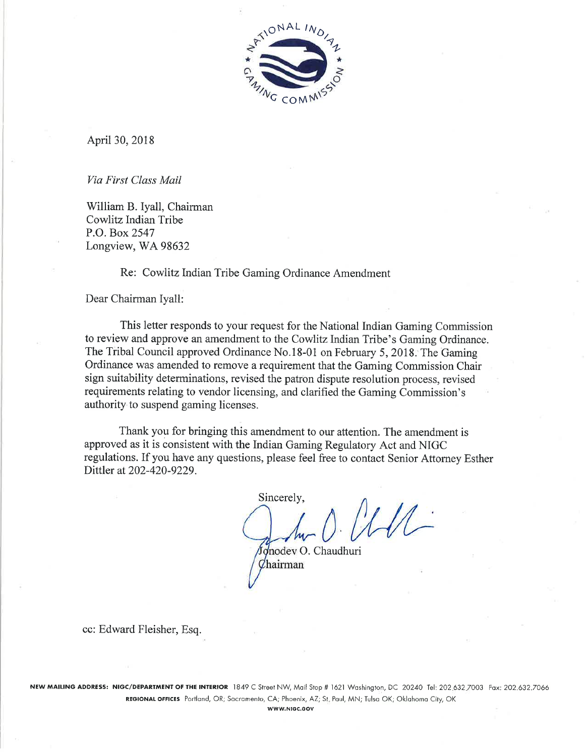

April 30, 2018

Via First Class Mail

William B. Iyall, Chairman Cowlitz Indian Tribe P.O. Box 2547 Longview, WA 98632

Re: Cowlitz Indian Tribe Gaming Ordinance Amendment

Dear Chairman Iyall:

This letter responds to your request for the National Indian Gaming Commission to review and approve an amendment to the Cowlitz Indian Tribe's Gaming Ordinance. The Tribal Council approved Ordinance No.18-01 on February 5, 2018. The Gaming Ordinance was amended to remove a requirement that the Gaming Commission Chair sign suitability determinations, revised the patron dispute resolution process, revised requirements relating to vendor licensing, and clarified the Gaming Commission's authority to suspend gaming licenses.

Thank you for bringing this amendment to our attention. The amendment is approved as it is consistent with the Indian Gaming Regulatory Act and NIGC regulations. If you have any questions, please feel free to contact Senior Attorney Esther Dittler at 202-420-9229.

Sincerely,

Jonodev O. Chaudhuri Chairman

cc: Edward Fleisher, Esq.

NEW MAILING ADDRESS: NIGC/DEPARTMENT OF THE INTERIOR 1849 C Street NW, Mail Stop # 1621 Washington, DC 20240 Tel: 202.632.7003 Fax: 202.632.7066 REGIONAL OFFICES Portland, OR; Sacramento, CA; Phoenix, AZ; St. Paul, MN; Tulsa OK; Oklahoma City, OK

WWW.NIGC.GOV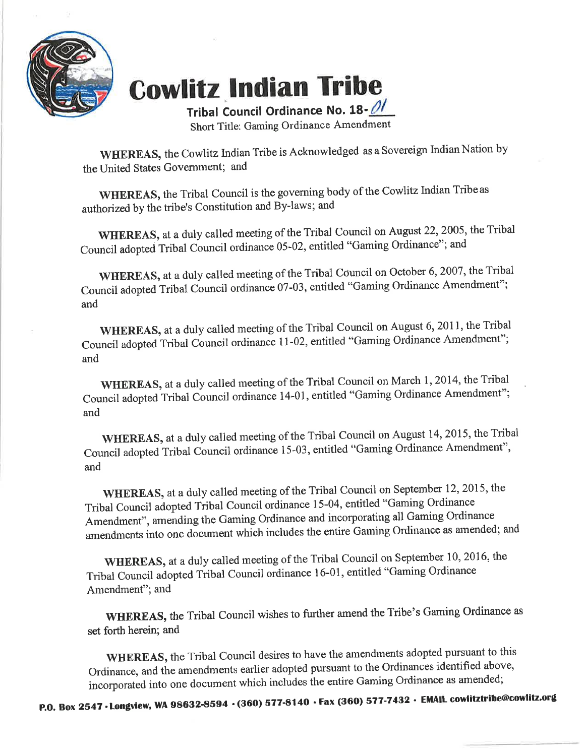

## **Cowlitz Indian Tribe**

Tribal Council Ordinance No. 18-01 Short Title: Gaming Ordinance Amendment

WHEREAS, the Cowlitz Indian Tribe is Acknowledged as a Sovereign Indian Nation by the United States Government; and

WHEREAS, the Tribal Council is the governing body of the Cowlitz Indian Tribe as authorized by the tribe's Constitution and By-laws; and

WHEREAS, at a duly called meeting of the Tribal Council on August 22, 2005, the Tribal Council adopted Tribal Council ordinance 05-02, entitled "Gaming Ordinance"; and

WHEREAS, at a duly called meeting of the Tribal Council on October 6, 2007, the Tribal Council adopted Tribal Council ordinance 07-03, entitled "Gaming Ordinance Amendment"; and

WHEREAS, at a duly called meeting of the Tribal Council on August 6, 2011, the Tribal Council adopted Tribal Council ordinance 11-02, entitled "Gaming Ordinance Amendment"; and

WHEREAS, at a duly called meeting of the Tribal Council on March 1, 2014, the Tribal Council adopted Tribal Council ordinance 14-01, entitled "Gaming Ordinance Amendment"; and

WHEREAS, at a duly called meeting of the Tribal Council on August 14, 2015, the Tribal Council adopted Tribal Council ordinance 15-03, entitled "Gaming Ordinance Amendment", and

WHEREAS, at a duly called meeting of the Tribal Council on September 12, 2015, the Tribal Council adopted Tribal Council ordinance 15-04, entitled "Gaming Ordinance Amendment", amending the Gaming Ordinance and incorporating all Gaming Ordinance amendments into one document which includes the entire Gaming Ordinance as amended; and

WHEREAS, at a duly called meeting of the Tribal Council on September 10, 2016, the Tribal Council adopted Tribal Council ordinance 16-01, entitled "Gaming Ordinance Amendment"; and

WHEREAS, the Tribal Council wishes to further amend the Tribe's Gaming Ordinance as set forth herein; and

WHEREAS, the Tribal Council desires to have the amendments adopted pursuant to this Ordinance, and the amendments earlier adopted pursuant to the Ordinances identified above, incorporated into one document which includes the entire Gaming Ordinance as amended;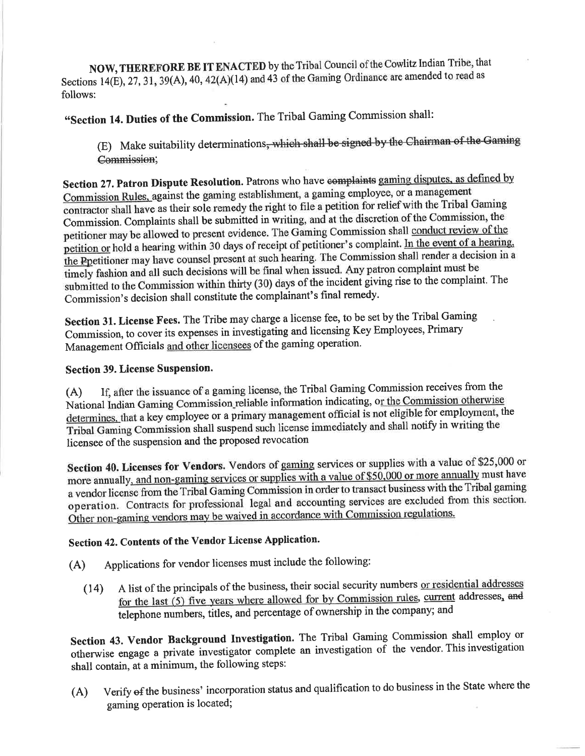NOW, THEREFORE BE IT ENACTED by the Tribal Council of the Cowlitz Indian Tribe, that Sections 14(E), 27, 31, 39(A), 40, 42(A)(14) and 43 of the Gaming Ordinance are amended to read as follows:

"Section 14. Duties of the Commission. The Tribal Gaming Commission shall:

(E) Make suitability determinations, which shall be signed by the Chairman of the Gaming Commission.

Section 27. Patron Dispute Resolution. Patrons who have complaints gaming disputes, as defined by Commission Rules, against the gaming establishment, a gaming employee, or a management contractor shall have as their sole remedy the right to file a petition for relief with the Tribal Gaming Commission. Complaints shall be submitted in writing, and at the discretion of the Commission, the petitioner may be allowed to present evidence. The Gaming Commission shall conduct review of the petition or hold a hearing within 30 days of receipt of petitioner's complaint. In the event of a hearing, the Ppetitioner may have counsel present at such hearing. The Commission shall render a decision in a timely fashion and all such decisions will be final when issued. Any patron complaint must be submitted to the Commission within thirty (30) days of the incident giving rise to the complaint. The Commission's decision shall constitute the complainant's final remedy.

Section 31. License Fees. The Tribe may charge a license fee, to be set by the Tribal Gaming Commission, to cover its expenses in investigating and licensing Key Employees, Primary Management Officials and other licensees of the gaming operation.

#### **Section 39. License Suspension.**

If, after the issuance of a gaming license, the Tribal Gaming Commission receives from the  $(A)$ National Indian Gaming Commission reliable information indicating, or the Commission otherwise determines, that a key employee or a primary management official is not eligible for employment, the Tribal Gaming Commission shall suspend such license immediately and shall notify in writing the licensee of the suspension and the proposed revocation

Section 40. Licenses for Vendors. Vendors of gaming services or supplies with a value of \$25,000 or more annually, and non-gaming services or supplies with a value of \$50,000 or more annually must have a vendor license from the Tribal Gaming Commission in order to transact business with the Tribal gaming operation. Contracts for professional legal and accounting services are excluded from this section. Other non-gaming vendors may be waived in accordance with Commission regulations.

### Section 42. Contents of the Vendor License Application.

- Applications for vendor licenses must include the following:  $(A)$ 
	- A list of the principals of the business, their social security numbers or residential addresses  $(14)$ for the last (5) five years where allowed for by Commission rules, current addresses, and telephone numbers, titles, and percentage of ownership in the company; and

Section 43. Vendor Background Investigation. The Tribal Gaming Commission shall employ or otherwise engage a private investigator complete an investigation of the vendor. This investigation shall contain, at a minimum, the following steps:

Verify of the business' incorporation status and qualification to do business in the State where the  $(A)$ gaming operation is located;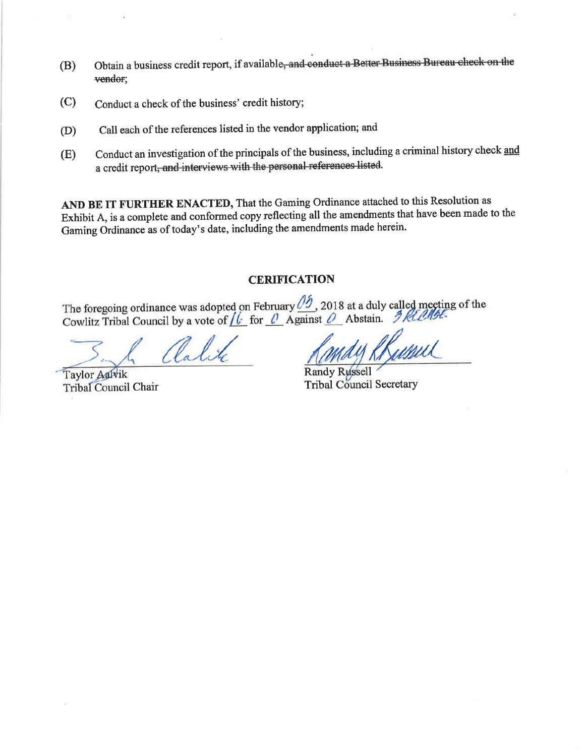- Obtain a business credit report, if available, and conduct a Better Business Bureau check on the  $(B)$ vendor;
- $(C)$ Conduct a check of the business' credit history;
- Call each of the references listed in the vendor application; and  $(D)$
- Conduct an investigation of the principals of the business, including a criminal history check and (E) a credit report, and interviews with the personal references listed.

AND BE IT FURTHER ENACTED, That the Gaming Ordinance attached to this Resolution as Exhibit A, is a complete and conformed copy reflecting all the amendments that have been made to the Gaming Ordinance as of today's date, including the amendments made herein.

#### **CERIFICATION**

The foregoing ordinance was adopted on February  $\frac{\partial f}{\partial z}$ , 2018 at a duly called meeting of the Cowlitz Tribal Council by a vote of  $\mu$  for  $\mu$  Against  $\Omega$  Abstain. I Kill the

alit

Taylor Aalvik Tribal Council Chair

Kumul

**Randy Russell Tribal Council Secretary**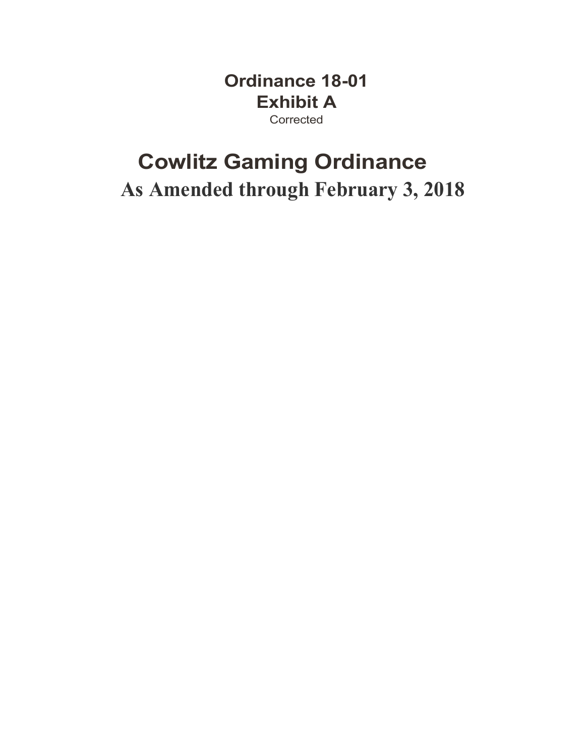**Ordinance 18-01 Exhibit A Corrected** 

### **Cowlitz Gaming Ordinance As Amended through February 3, 2018**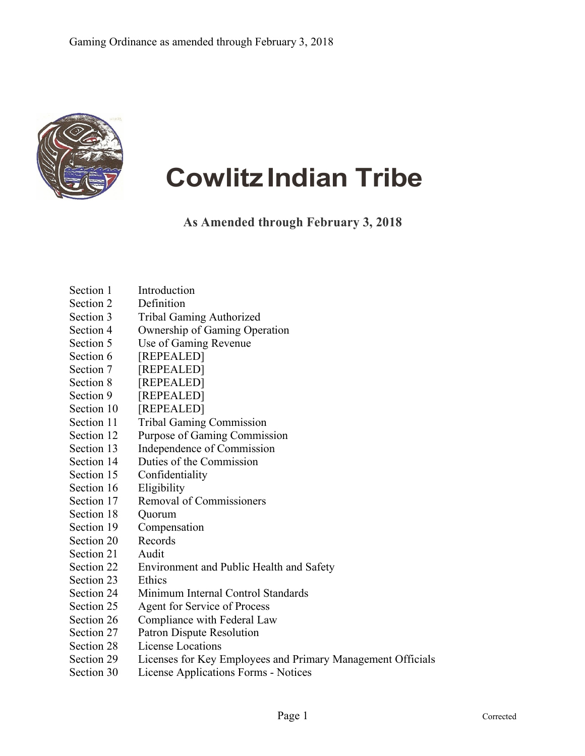

# **Cowlitz Indian Tribe**

**As Amended through February 3, 2018**

- Section 1 Introduction
- Section 2 Definition
- Section 3 Tribal Gaming Authorized
- Section 4 Ownership of Gaming Operation
- Section 5 Use of Gaming Revenue
- Section 6 [REPEALED]
- Section 7 [REPEALED]
- Section 8 [REPEALED]
- Section 9 [REPEALED]
- Section 10 [REPEALED]
- Section 11 Tribal Gaming Commission
- Section 12 Purpose of Gaming Commission
- Section 13 Independence of Commission
- Section 14 Duties of the Commission
- Section 15 Confidentiality
- Section 16 Eligibility
- Section 17 Removal of Commissioners
- Section 18 Ouorum
- Section 19 Compensation
- Section 20 Records
- Section 21 Audit
- Section 22 Environment and Public Health and Safety
- Section 23 Ethics
- Section 24 Minimum Internal Control Standards
- Section 25 Agent for Service of Process
- Section 26 Compliance with Federal Law
- Section 27 Patron Dispute Resolution
- Section 28 License Locations
- Section 29 Licenses for Key Employees and Primary Management Officials
- Section 30 License Applications Forms Notices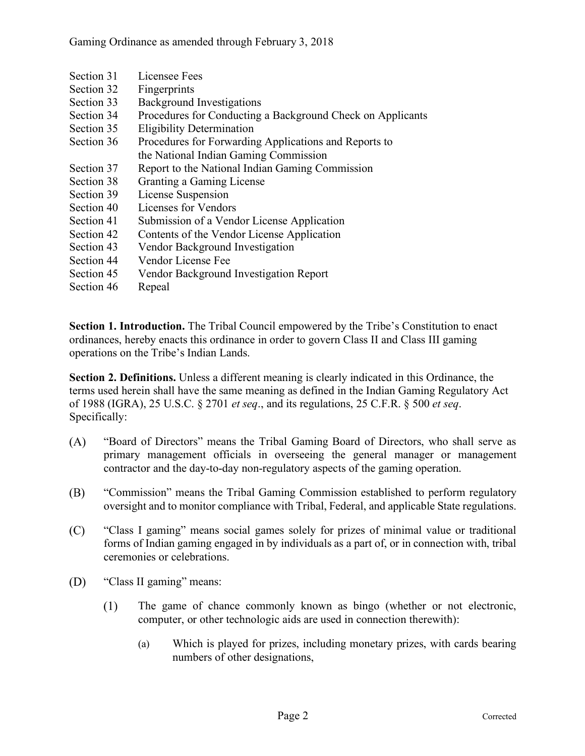Gaming Ordinance as amended through February 3, 2018

- Section 31 Licensee Fees
- Section 32 Fingerprints
- Section 33 Background Investigations
- Section 34 Procedures for Conducting a Background Check on Applicants
- Section 35 Eligibility Determination
- Section 36 Procedures for Forwarding Applications and Reports to the National Indian Gaming Commission
- Section 37 Report to the National Indian Gaming Commission
- Section 38 Granting a Gaming License
- Section 39 License Suspension
- Section 40 Licenses for Vendors
- Section 41 Submission of a Vendor License Application
- Section 42 Contents of the Vendor License Application
- Section 43 Vendor Background Investigation
- Section 44 Vendor License Fee
- Section 45 Vendor Background Investigation Report
- Section 46 Repeal

**Section 1. Introduction.** The Tribal Council empowered by the Tribe's Constitution to enact ordinances, hereby enacts this ordinance in order to govern Class II and Class III gaming operations on the Tribe's Indian Lands.

**Section 2. Definitions.** Unless a different meaning is clearly indicated in this Ordinance, the terms used herein shall have the same meaning as defined in the Indian Gaming Regulatory Act of 1988 (IGRA), 25 U.S.C. § 2701 *et seq*., and its regulations, 25 C.F.R. § 500 *et seq*. Specifically:

- $(A)$ "Board of Directors" means the Tribal Gaming Board of Directors, who shall serve as primary management officials in overseeing the general manager or management contractor and the day-to-day non-regulatory aspects of the gaming operation.
- (B) "Commission" means the Tribal Gaming Commission established to perform regulatory oversight and to monitor compliance with Tribal, Federal, and applicable State regulations.
- $(C)$ "Class I gaming" means social games solely for prizes of minimal value or traditional forms of Indian gaming engaged in by individuals as a part of, or in connection with, tribal ceremonies or celebrations.
- (D) "Class II gaming" means:
	- $(1)$ The game of chance commonly known as bingo (whether or not electronic, computer, or other technologic aids are used in connection therewith):
		- (a) Which is played for prizes, including monetary prizes, with cards bearing numbers of other designations,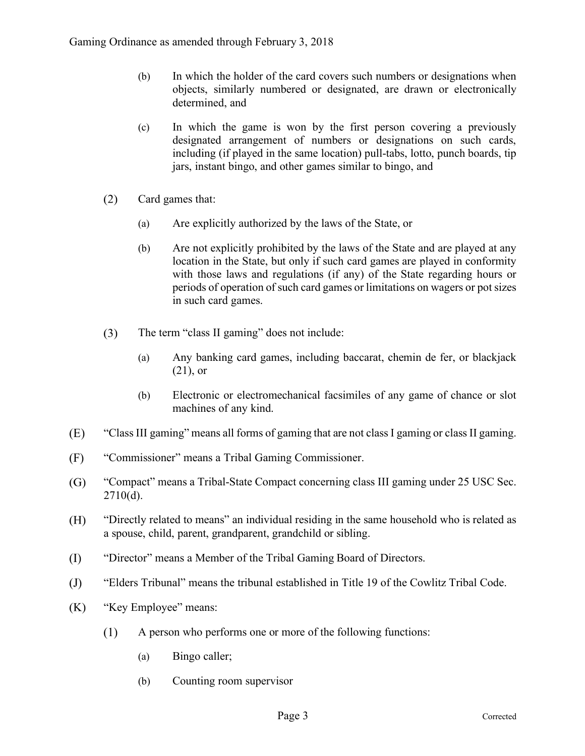- (b) In which the holder of the card covers such numbers or designations when objects, similarly numbered or designated, are drawn or electronically determined, and
- (c) In which the game is won by the first person covering a previously designated arrangement of numbers or designations on such cards, including (if played in the same location) pull-tabs, lotto, punch boards, tip jars, instant bingo, and other games similar to bingo, and
- $(2)$ Card games that:
	- (a) Are explicitly authorized by the laws of the State, or
	- (b) Are not explicitly prohibited by the laws of the State and are played at any location in the State, but only if such card games are played in conformity with those laws and regulations (if any) of the State regarding hours or periods of operation of such card games or limitations on wagers or pot sizes in such card games.
- $(3)$ The term "class II gaming" does not include:
	- (a) Any banking card games, including baccarat, chemin de fer, or blackjack (21), or
	- (b) Electronic or electromechanical facsimiles of any game of chance or slot machines of any kind.
- $(E)$ "Class III gaming" means all forms of gaming that are not class I gaming or class II gaming.
- $(F)$ "Commissioner" means a Tribal Gaming Commissioner.
- $\left( G\right)$ "Compact" means a Tribal-State Compact concerning class III gaming under 25 USC Sec. 2710(d).
- "Directly related to means" an individual residing in the same household who is related as  $(H)$ a spouse, child, parent, grandparent, grandchild or sibling.
- "Director" means a Member of the Tribal Gaming Board of Directors. (I)
- "Elders Tribunal" means the tribunal established in Title 19 of the Cowlitz Tribal Code.  $(J)$
- "Key Employee" means:  $(K)$ 
	- $(1)$ A person who performs one or more of the following functions:
		- (a) Bingo caller;
		- (b) Counting room supervisor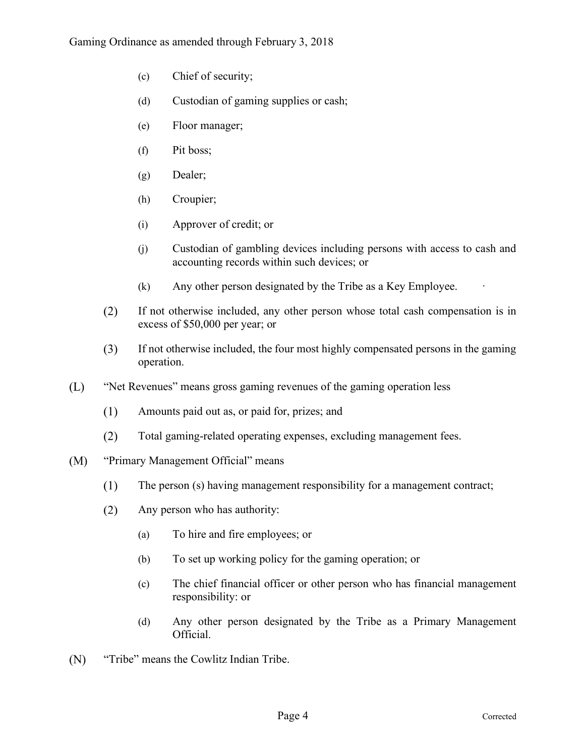- (c) Chief of security;
- (d) Custodian of gaming supplies or cash;
- (e) Floor manager;
- (f) Pit boss;
- (g) Dealer;
- (h) Croupier;
- (i) Approver of credit; or
- (j) Custodian of gambling devices including persons with access to cash and accounting records within such devices; or
- $(k)$  Any other person designated by the Tribe as a Key Employee.
- $(2)$ If not otherwise included, any other person whose total cash compensation is in excess of \$50,000 per year; or
- $(3)$ If not otherwise included, the four most highly compensated persons in the gaming operation.
- $(L)$ "Net Revenues" means gross gaming revenues of the gaming operation less
	- $(1)$ Amounts paid out as, or paid for, prizes; and
	- $(2)$ Total gaming-related operating expenses, excluding management fees.
- $(M)$ "Primary Management Official" means
	- $(1)$ The person (s) having management responsibility for a management contract;
	- $(2)$ Any person who has authority:
		- (a) To hire and fire employees; or
		- (b) To set up working policy for the gaming operation; or
		- (c) The chief financial officer or other person who has financial management responsibility: or
		- (d) Any other person designated by the Tribe as a Primary Management Official.
- "Tribe" means the Cowlitz Indian Tribe. $(N)$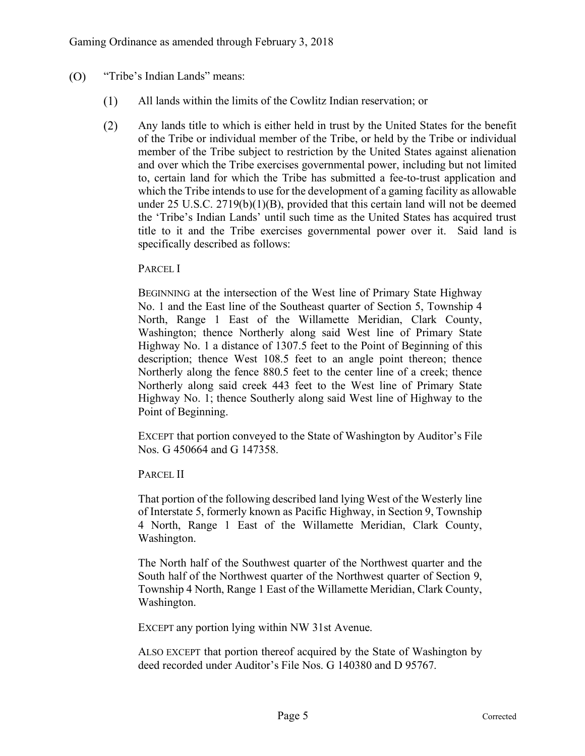- $(O)$ "Tribe's Indian Lands" means:
	- All lands within the limits of the Cowlitz Indian reservation; or  $(1)$
	- $(2)$ Any lands title to which is either held in trust by the United States for the benefit of the Tribe or individual member of the Tribe, or held by the Tribe or individual member of the Tribe subject to restriction by the United States against alienation and over which the Tribe exercises governmental power, including but not limited to, certain land for which the Tribe has submitted a fee-to-trust application and which the Tribe intends to use for the development of a gaming facility as allowable under 25 U.S.C. 2719(b)(1)(B), provided that this certain land will not be deemed the 'Tribe's Indian Lands' until such time as the United States has acquired trust title to it and the Tribe exercises governmental power over it. Said land is specifically described as follows:

#### PARCEL I

BEGINNING at the intersection of the West line of Primary State Highway No. 1 and the East line of the Southeast quarter of Section 5, Township 4 North, Range 1 East of the Willamette Meridian, Clark County, Washington; thence Northerly along said West line of Primary State Highway No. 1 a distance of 1307.5 feet to the Point of Beginning of this description; thence West 108.5 feet to an angle point thereon; thence Northerly along the fence 880.5 feet to the center line of a creek; thence Northerly along said creek 443 feet to the West line of Primary State Highway No. 1; thence Southerly along said West line of Highway to the Point of Beginning.

EXCEPT that portion conveyed to the State of Washington by Auditor's File Nos. G 450664 and G 147358.

PARCEL II

That portion of the following described land lying West of the Westerly line of Interstate 5, formerly known as Pacific Highway, in Section 9, Township 4 North, Range 1 East of the Willamette Meridian, Clark County, Washington.

The North half of the Southwest quarter of the Northwest quarter and the South half of the Northwest quarter of the Northwest quarter of Section 9, Township 4 North, Range 1 East of the Willamette Meridian, Clark County, Washington.

EXCEPT any portion lying within NW 31st Avenue.

ALSO EXCEPT that portion thereof acquired by the State of Washington by deed recorded under Auditor's File Nos. G 140380 and D 95767.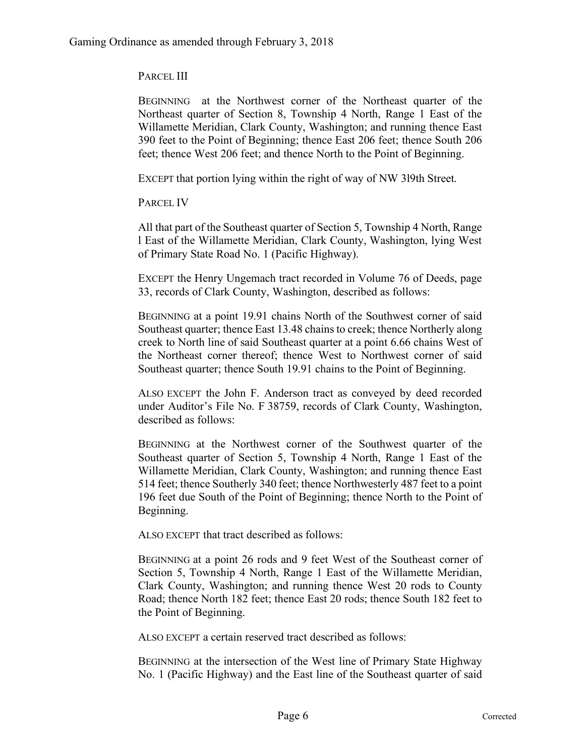PARCEL III

BEGINNING at the Northwest corner of the Northeast quarter of the Northeast quarter of Section 8, Township 4 North, Range 1 East of the Willamette Meridian, Clark County, Washington; and running thence East 390 feet to the Point of Beginning; thence East 206 feet; thence South 206 feet; thence West 206 feet; and thence North to the Point of Beginning.

EXCEPT that portion lying within the right of way of NW 3l9th Street.

PARCEL IV

All that part of the Southeast quarter of Section 5, Township 4 North, Range l East of the Willamette Meridian, Clark County, Washington, lying West of Primary State Road No. 1 (Pacific Highway).

EXCEPT the Henry Ungemach tract recorded in Volume 76 of Deeds, page 33, records of Clark County, Washington, described as follows:

BEGINNING at a point 19.91 chains North of the Southwest corner of said Southeast quarter; thence East 13.48 chains to creek; thence Northerly along creek to North line of said Southeast quarter at a point 6.66 chains West of the Northeast corner thereof; thence West to Northwest corner of said Southeast quarter; thence South 19.91 chains to the Point of Beginning.

ALSO EXCEPT the John F. Anderson tract as conveyed by deed recorded under Auditor's File No. F 38759, records of Clark County, Washington, described as follows:

BEGINNING at the Northwest corner of the Southwest quarter of the Southeast quarter of Section 5, Township 4 North, Range 1 East of the Willamette Meridian, Clark County, Washington; and running thence East 514 feet; thence Southerly 340 feet; thence Northwesterly 487 feet to a point 196 feet due South of the Point of Beginning; thence North to the Point of Beginning.

ALSO EXCEPT that tract described as follows:

BEGINNING at a point 26 rods and 9 feet West of the Southeast corner of Section 5, Township 4 North, Range 1 East of the Willamette Meridian, Clark County, Washington; and running thence West 20 rods to County Road; thence North 182 feet; thence East 20 rods; thence South 182 feet to the Point of Beginning.

ALSO EXCEPT a certain reserved tract described as follows:

BEGINNING at the intersection of the West line of Primary State Highway No. 1 (Pacific Highway) and the East line of the Southeast quarter of said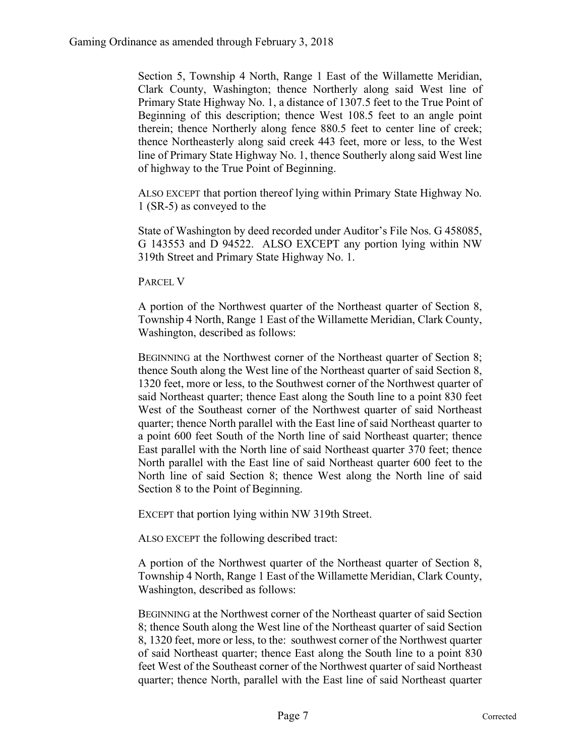Section 5, Township 4 North, Range 1 East of the Willamette Meridian, Clark County, Washington; thence Northerly along said West line of Primary State Highway No. 1, a distance of 1307.5 feet to the True Point of Beginning of this description; thence West 108.5 feet to an angle point therein; thence Northerly along fence 880.5 feet to center line of creek; thence Northeasterly along said creek 443 feet, more or less, to the West line of Primary State Highway No. 1, thence Southerly along said West line of highway to the True Point of Beginning.

ALSO EXCEPT that portion thereof lying within Primary State Highway No. 1 (SR-5) as conveyed to the

State of Washington by deed recorded under Auditor's File Nos. G 458085, G 143553 and D 94522. ALSO EXCEPT any portion lying within NW 319th Street and Primary State Highway No. 1.

PARCEL V

A portion of the Northwest quarter of the Northeast quarter of Section 8, Township 4 North, Range 1 East of the Willamette Meridian, Clark County, Washington, described as follows:

BEGINNING at the Northwest corner of the Northeast quarter of Section 8; thence South along the West line of the Northeast quarter of said Section 8, 1320 feet, more or less, to the Southwest corner of the Northwest quarter of said Northeast quarter; thence East along the South line to a point 830 feet West of the Southeast corner of the Northwest quarter of said Northeast quarter; thence North parallel with the East line of said Northeast quarter to a point 600 feet South of the North line of said Northeast quarter; thence East parallel with the North line of said Northeast quarter 370 feet; thence North parallel with the East line of said Northeast quarter 600 feet to the North line of said Section 8; thence West along the North line of said Section 8 to the Point of Beginning.

EXCEPT that portion lying within NW 319th Street.

ALSO EXCEPT the following described tract:

A portion of the Northwest quarter of the Northeast quarter of Section 8, Township 4 North, Range 1 East of the Willamette Meridian, Clark County, Washington, described as follows:

BEGINNING at the Northwest corner of the Northeast quarter of said Section 8; thence South along the West line of the Northeast quarter of said Section 8, 1320 feet, more or less, to the: southwest corner of the Northwest quarter of said Northeast quarter; thence East along the South line to a point 830 feet West of the Southeast corner of the Northwest quarter of said Northeast quarter; thence North, parallel with the East line of said Northeast quarter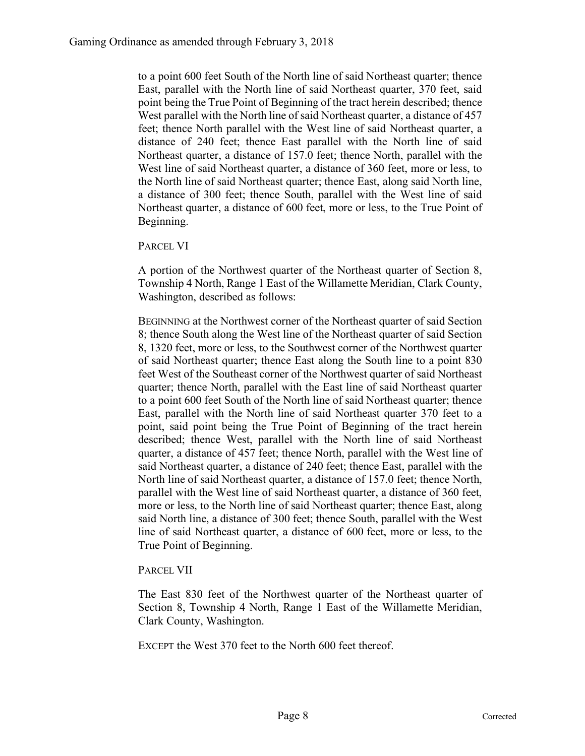to a point 600 feet South of the North line of said Northeast quarter; thence East, parallel with the North line of said Northeast quarter, 370 feet, said point being the True Point of Beginning of the tract herein described; thence West parallel with the North line of said Northeast quarter, a distance of 457 feet; thence North parallel with the West line of said Northeast quarter, a distance of 240 feet; thence East parallel with the North line of said Northeast quarter, a distance of 157.0 feet; thence North, parallel with the West line of said Northeast quarter, a distance of 360 feet, more or less, to the North line of said Northeast quarter; thence East, along said North line, a distance of 300 feet; thence South, parallel with the West line of said Northeast quarter, a distance of 600 feet, more or less, to the True Point of Beginning.

PARCEL VI

A portion of the Northwest quarter of the Northeast quarter of Section 8, Township 4 North, Range 1 East of the Willamette Meridian, Clark County, Washington, described as follows:

BEGINNING at the Northwest corner of the Northeast quarter of said Section 8; thence South along the West line of the Northeast quarter of said Section 8, 1320 feet, more or less, to the Southwest corner of the Northwest quarter of said Northeast quarter; thence East along the South line to a point 830 feet West of the Southeast corner of the Northwest quarter of said Northeast quarter; thence North, parallel with the East line of said Northeast quarter to a point 600 feet South of the North line of said Northeast quarter; thence East, parallel with the North line of said Northeast quarter 370 feet to a point, said point being the True Point of Beginning of the tract herein described; thence West, parallel with the North line of said Northeast quarter, a distance of 457 feet; thence North, parallel with the West line of said Northeast quarter, a distance of 240 feet; thence East, parallel with the North line of said Northeast quarter, a distance of 157.0 feet; thence North, parallel with the West line of said Northeast quarter, a distance of 360 feet, more or less, to the North line of said Northeast quarter; thence East, along said North line, a distance of 300 feet; thence South, parallel with the West line of said Northeast quarter, a distance of 600 feet, more or less, to the True Point of Beginning.

PARCEL VII

The East 830 feet of the Northwest quarter of the Northeast quarter of Section 8, Township 4 North, Range 1 East of the Willamette Meridian, Clark County, Washington.

EXCEPT the West 370 feet to the North 600 feet thereof.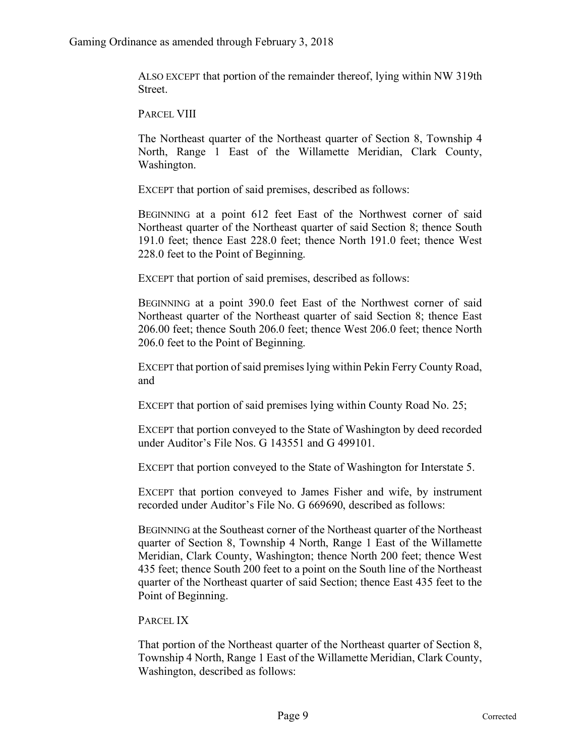ALSO EXCEPT that portion of the remainder thereof, lying within NW 319th Street.

PARCEL VIII

The Northeast quarter of the Northeast quarter of Section 8, Township 4 North, Range 1 East of the Willamette Meridian, Clark County, Washington.

EXCEPT that portion of said premises, described as follows:

BEGINNING at a point 612 feet East of the Northwest corner of said Northeast quarter of the Northeast quarter of said Section 8; thence South 191.0 feet; thence East 228.0 feet; thence North 191.0 feet; thence West 228.0 feet to the Point of Beginning.

EXCEPT that portion of said premises, described as follows:

BEGINNING at a point 390.0 feet East of the Northwest corner of said Northeast quarter of the Northeast quarter of said Section 8; thence East 206.00 feet; thence South 206.0 feet; thence West 206.0 feet; thence North 206.0 feet to the Point of Beginning.

EXCEPT that portion of said premises lying within Pekin Ferry County Road, and

EXCEPT that portion of said premises lying within County Road No. 25;

EXCEPT that portion conveyed to the State of Washington by deed recorded under Auditor's File Nos. G 143551 and G 499101.

EXCEPT that portion conveyed to the State of Washington for Interstate 5.

EXCEPT that portion conveyed to James Fisher and wife, by instrument recorded under Auditor's File No. G 669690, described as follows:

BEGINNING at the Southeast corner of the Northeast quarter of the Northeast quarter of Section 8, Township 4 North, Range 1 East of the Willamette Meridian, Clark County, Washington; thence North 200 feet; thence West 435 feet; thence South 200 feet to a point on the South line of the Northeast quarter of the Northeast quarter of said Section; thence East 435 feet to the Point of Beginning.

PARCEL IX

That portion of the Northeast quarter of the Northeast quarter of Section 8, Township 4 North, Range 1 East of the Willamette Meridian, Clark County, Washington, described as follows: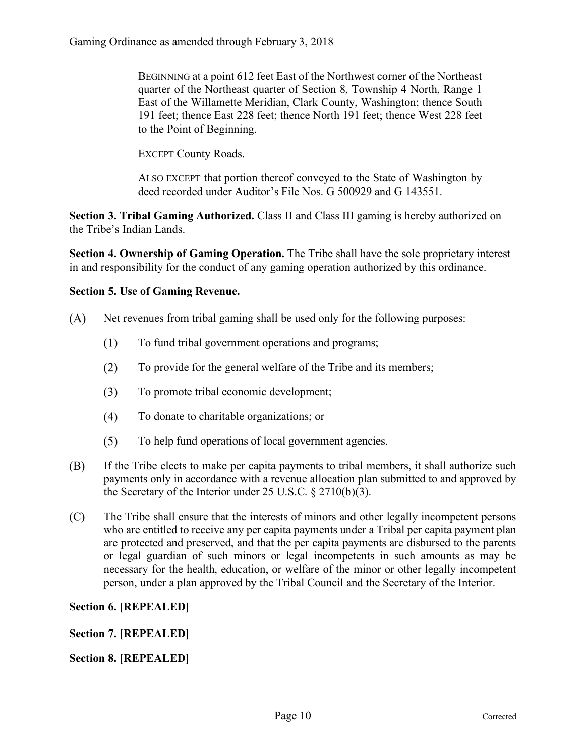BEGINNING at a point 612 feet East of the Northwest corner of the Northeast quarter of the Northeast quarter of Section 8, Township 4 North, Range 1 East of the Willamette Meridian, Clark County, Washington; thence South 191 feet; thence East 228 feet; thence North 191 feet; thence West 228 feet to the Point of Beginning.

EXCEPT County Roads.

ALSO EXCEPT that portion thereof conveyed to the State of Washington by deed recorded under Auditor's File Nos. G 500929 and G 143551.

**Section 3. Tribal Gaming Authorized.** Class II and Class III gaming is hereby authorized on the Tribe's Indian Lands.

**Section 4. Ownership of Gaming Operation.** The Tribe shall have the sole proprietary interest in and responsibility for the conduct of any gaming operation authorized by this ordinance.

#### **Section 5. Use of Gaming Revenue.**

- $(A)$ Net revenues from tribal gaming shall be used only for the following purposes:
	- $(1)$ To fund tribal government operations and programs;
	- $(2)$ To provide for the general welfare of the Tribe and its members;
	- $(3)$ To promote tribal economic development;
	- $(4)$ To donate to charitable organizations; or
	- $(5)$ To help fund operations of local government agencies.
- (B) If the Tribe elects to make per capita payments to tribal members, it shall authorize such payments only in accordance with a revenue allocation plan submitted to and approved by the Secretary of the Interior under 25 U.S.C. § 2710(b)(3).
- $(C)$ The Tribe shall ensure that the interests of minors and other legally incompetent persons who are entitled to receive any per capita payments under a Tribal per capita payment plan are protected and preserved, and that the per capita payments are disbursed to the parents or legal guardian of such minors or legal incompetents in such amounts as may be necessary for the health, education, or welfare of the minor or other legally incompetent person, under a plan approved by the Tribal Council and the Secretary of the Interior.

#### **Section 6. [REPEALED]**

#### **Section 7. [REPEALED]**

**Section 8. [REPEALED]**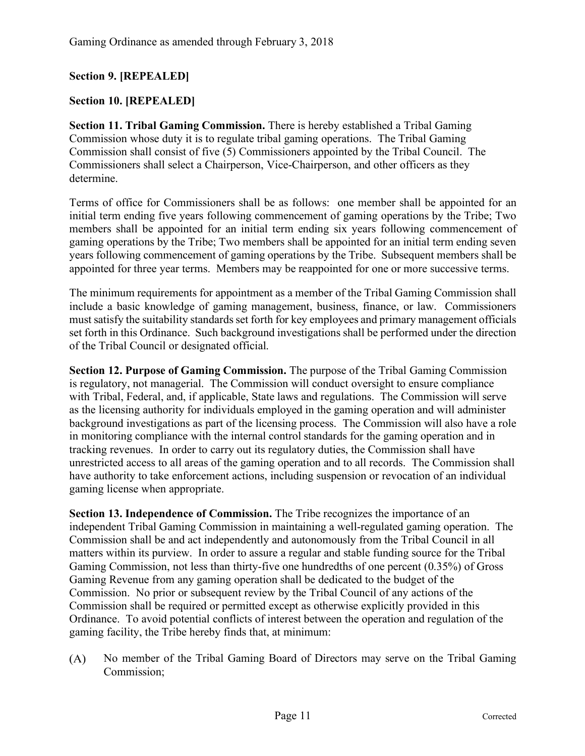#### **Section 9. [REPEALED]**

#### **Section 10. [REPEALED]**

**Section 11. Tribal Gaming Commission.** There is hereby established a Tribal Gaming Commission whose duty it is to regulate tribal gaming operations. The Tribal Gaming Commission shall consist of five (5) Commissioners appointed by the Tribal Council. The Commissioners shall select a Chairperson, Vice-Chairperson, and other officers as they determine.

Terms of office for Commissioners shall be as follows: one member shall be appointed for an initial term ending five years following commencement of gaming operations by the Tribe; Two members shall be appointed for an initial term ending six years following commencement of gaming operations by the Tribe; Two members shall be appointed for an initial term ending seven years following commencement of gaming operations by the Tribe. Subsequent members shall be appointed for three year terms. Members may be reappointed for one or more successive terms.

The minimum requirements for appointment as a member of the Tribal Gaming Commission shall include a basic knowledge of gaming management, business, finance, or law. Commissioners must satisfy the suitability standards set forth for key employees and primary management officials set forth in this Ordinance. Such background investigations shall be performed under the direction of the Tribal Council or designated official.

**Section 12. Purpose of Gaming Commission.** The purpose of the Tribal Gaming Commission is regulatory, not managerial. The Commission will conduct oversight to ensure compliance with Tribal, Federal, and, if applicable, State laws and regulations. The Commission will serve as the licensing authority for individuals employed in the gaming operation and will administer background investigations as part of the licensing process. The Commission will also have a role in monitoring compliance with the internal control standards for the gaming operation and in tracking revenues. In order to carry out its regulatory duties, the Commission shall have unrestricted access to all areas of the gaming operation and to all records. The Commission shall have authority to take enforcement actions, including suspension or revocation of an individual gaming license when appropriate.

**Section 13. Independence of Commission.** The Tribe recognizes the importance of an independent Tribal Gaming Commission in maintaining a well-regulated gaming operation. The Commission shall be and act independently and autonomously from the Tribal Council in all matters within its purview. In order to assure a regular and stable funding source for the Tribal Gaming Commission, not less than thirty-five one hundredths of one percent (0.35%) of Gross Gaming Revenue from any gaming operation shall be dedicated to the budget of the Commission. No prior or subsequent review by the Tribal Council of any actions of the Commission shall be required or permitted except as otherwise explicitly provided in this Ordinance. To avoid potential conflicts of interest between the operation and regulation of the gaming facility, the Tribe hereby finds that, at minimum:

 $(A)$ No member of the Tribal Gaming Board of Directors may serve on the Tribal Gaming Commission;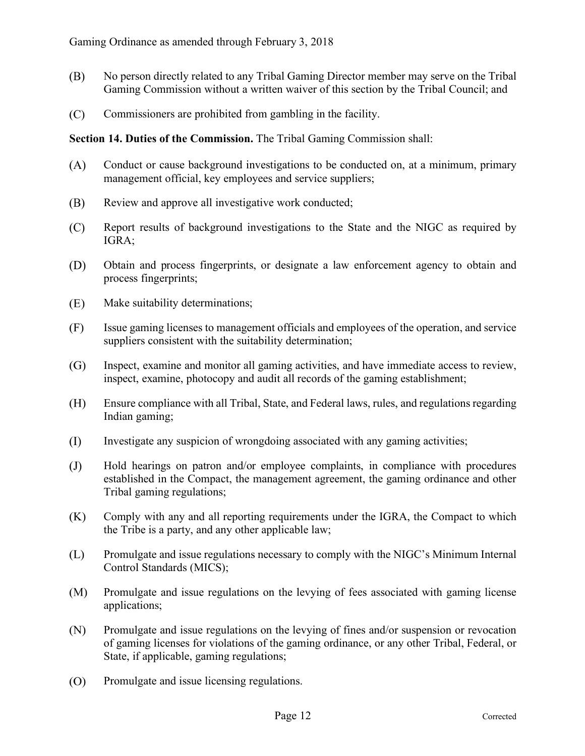- (B) No person directly related to any Tribal Gaming Director member may serve on the Tribal Gaming Commission without a written waiver of this section by the Tribal Council; and
- $(C)$ Commissioners are prohibited from gambling in the facility.

**Section 14. Duties of the Commission.** The Tribal Gaming Commission shall:

- $(A)$ Conduct or cause background investigations to be conducted on, at a minimum, primary management official, key employees and service suppliers;
- (B) Review and approve all investigative work conducted;
- $(C)$ Report results of background investigations to the State and the NIGC as required by IGRA;
- (D) Obtain and process fingerprints, or designate a law enforcement agency to obtain and process fingerprints;
- (E) Make suitability determinations;
- $(F)$ Issue gaming licenses to management officials and employees of the operation, and service suppliers consistent with the suitability determination;
- $(G)$ Inspect, examine and monitor all gaming activities, and have immediate access to review, inspect, examine, photocopy and audit all records of the gaming establishment;
- $(H)$ Ensure compliance with all Tribal, State, and Federal laws, rules, and regulations regarding Indian gaming;
- (I) Investigate any suspicion of wrongdoing associated with any gaming activities;
- $(J)$ Hold hearings on patron and/or employee complaints, in compliance with procedures established in the Compact, the management agreement, the gaming ordinance and other Tribal gaming regulations;
- $(K)$ Comply with any and all reporting requirements under the IGRA, the Compact to which the Tribe is a party, and any other applicable law;
- (L) Promulgate and issue regulations necessary to comply with the NIGC's Minimum Internal Control Standards (MICS);
- $(M)$ Promulgate and issue regulations on the levying of fees associated with gaming license applications;
- $(N)$ Promulgate and issue regulations on the levying of fines and/or suspension or revocation of gaming licenses for violations of the gaming ordinance, or any other Tribal, Federal, or State, if applicable, gaming regulations;
- $(0)$ Promulgate and issue licensing regulations.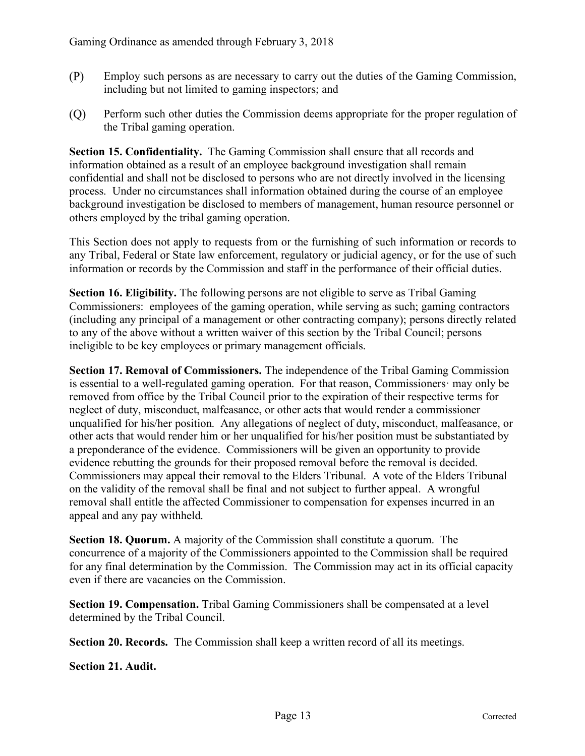- $(P)$ Employ such persons as are necessary to carry out the duties of the Gaming Commission, including but not limited to gaming inspectors; and
- (Q) Perform such other duties the Commission deems appropriate for the proper regulation of the Tribal gaming operation.

**Section 15. Confidentiality.** The Gaming Commission shall ensure that all records and information obtained as a result of an employee background investigation shall remain confidential and shall not be disclosed to persons who are not directly involved in the licensing process. Under no circumstances shall information obtained during the course of an employee background investigation be disclosed to members of management, human resource personnel or others employed by the tribal gaming operation.

This Section does not apply to requests from or the furnishing of such information or records to any Tribal, Federal or State law enforcement, regulatory or judicial agency, or for the use of such information or records by the Commission and staff in the performance of their official duties.

**Section 16. Eligibility.** The following persons are not eligible to serve as Tribal Gaming Commissioners: employees of the gaming operation, while serving as such; gaming contractors (including any principal of a management or other contracting company); persons directly related to any of the above without a written waiver of this section by the Tribal Council; persons ineligible to be key employees or primary management officials.

**Section 17. Removal of Commissioners.** The independence of the Tribal Gaming Commission is essential to a well-regulated gaming operation. For that reason, Commissioners· may only be removed from office by the Tribal Council prior to the expiration of their respective terms for neglect of duty, misconduct, malfeasance, or other acts that would render a commissioner unqualified for his/her position. Any allegations of neglect of duty, misconduct, malfeasance, or other acts that would render him or her unqualified for his/her position must be substantiated by a preponderance of the evidence. Commissioners will be given an opportunity to provide evidence rebutting the grounds for their proposed removal before the removal is decided. Commissioners may appeal their removal to the Elders Tribunal. A vote of the Elders Tribunal on the validity of the removal shall be final and not subject to further appeal. A wrongful removal shall entitle the affected Commissioner to compensation for expenses incurred in an appeal and any pay withheld.

**Section 18. Quorum.** A majority of the Commission shall constitute a quorum. The concurrence of a majority of the Commissioners appointed to the Commission shall be required for any final determination by the Commission. The Commission may act in its official capacity even if there are vacancies on the Commission.

**Section 19. Compensation.** Tribal Gaming Commissioners shall be compensated at a level determined by the Tribal Council.

**Section 20. Records.** The Commission shall keep a written record of all its meetings.

**Section 21. Audit.**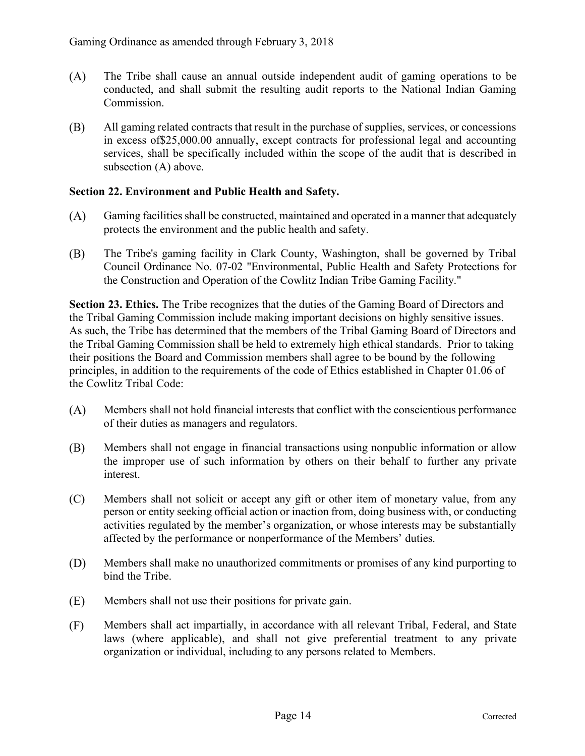- $(A)$ The Tribe shall cause an annual outside independent audit of gaming operations to be conducted, and shall submit the resulting audit reports to the National Indian Gaming Commission.
- (B) All gaming related contracts that result in the purchase of supplies, services, or concessions in excess of\$25,000.00 annually, except contracts for professional legal and accounting services, shall be specifically included within the scope of the audit that is described in subsection (A) above.

#### **Section 22. Environment and Public Health and Safety.**

- $(A)$ Gaming facilities shall be constructed, maintained and operated in a manner that adequately protects the environment and the public health and safety.
- (B) The Tribe's gaming facility in Clark County, Washington, shall be governed by Tribal Council Ordinance No. 07-02 "Environmental, Public Health and Safety Protections for the Construction and Operation of the Cowlitz Indian Tribe Gaming Facility."

**Section 23. Ethics.** The Tribe recognizes that the duties of the Gaming Board of Directors and the Tribal Gaming Commission include making important decisions on highly sensitive issues. As such, the Tribe has determined that the members of the Tribal Gaming Board of Directors and the Tribal Gaming Commission shall be held to extremely high ethical standards. Prior to taking their positions the Board and Commission members shall agree to be bound by the following principles, in addition to the requirements of the code of Ethics established in Chapter 01.06 of the Cowlitz Tribal Code:

- $(A)$ Members shall not hold financial interests that conflict with the conscientious performance of their duties as managers and regulators.
- (B) Members shall not engage in financial transactions using nonpublic information or allow the improper use of such information by others on their behalf to further any private interest.
- $(C)$ Members shall not solicit or accept any gift or other item of monetary value, from any person or entity seeking official action or inaction from, doing business with, or conducting activities regulated by the member's organization, or whose interests may be substantially affected by the performance or nonperformance of the Members' duties.
- (D) Members shall make no unauthorized commitments or promises of any kind purporting to bind the Tribe.
- (E) Members shall not use their positions for private gain.
- $(F)$ Members shall act impartially, in accordance with all relevant Tribal, Federal, and State laws (where applicable), and shall not give preferential treatment to any private organization or individual, including to any persons related to Members.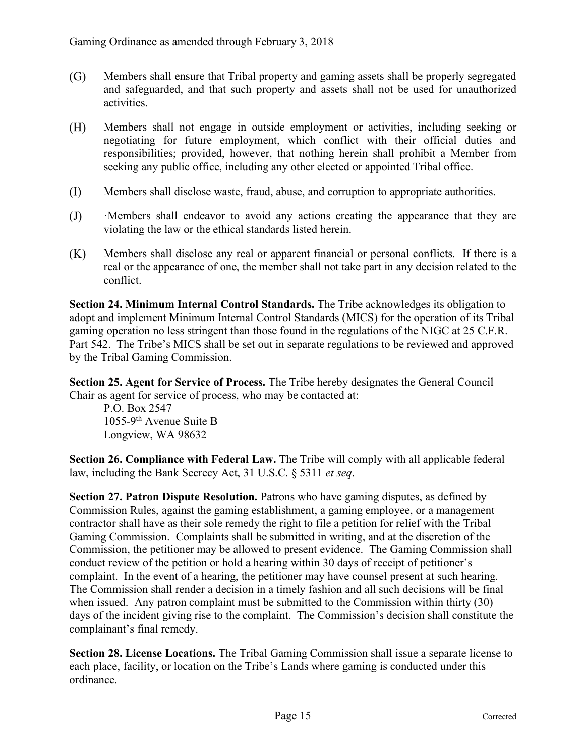- $(G)$ Members shall ensure that Tribal property and gaming assets shall be properly segregated and safeguarded, and that such property and assets shall not be used for unauthorized activities.
- $(H)$ Members shall not engage in outside employment or activities, including seeking or negotiating for future employment, which conflict with their official duties and responsibilities; provided, however, that nothing herein shall prohibit a Member from seeking any public office, including any other elected or appointed Tribal office.
- $(I)$ Members shall disclose waste, fraud, abuse, and corruption to appropriate authorities.
- ·Members shall endeavor to avoid any actions creating the appearance that they are  $(J)$ violating the law or the ethical standards listed herein.
- $(K)$ Members shall disclose any real or apparent financial or personal conflicts. If there is a real or the appearance of one, the member shall not take part in any decision related to the conflict.

**Section 24. Minimum Internal Control Standards.** The Tribe acknowledges its obligation to adopt and implement Minimum Internal Control Standards (MICS) for the operation of its Tribal gaming operation no less stringent than those found in the regulations of the NIGC at 25 C.F.R. Part 542. The Tribe's MICS shall be set out in separate regulations to be reviewed and approved by the Tribal Gaming Commission.

**Section 25. Agent for Service of Process.** The Tribe hereby designates the General Council Chair as agent for service of process, who may be contacted at:

P.O. Box 2547 1055-9th Avenue Suite B Longview, WA 98632

**Section 26. Compliance with Federal Law.** The Tribe will comply with all applicable federal law, including the Bank Secrecy Act, 31 U.S.C. § 5311 *et seq*.

**Section 27. Patron Dispute Resolution.** Patrons who have gaming disputes, as defined by Commission Rules, against the gaming establishment, a gaming employee, or a management contractor shall have as their sole remedy the right to file a petition for relief with the Tribal Gaming Commission. Complaints shall be submitted in writing, and at the discretion of the Commission, the petitioner may be allowed to present evidence. The Gaming Commission shall conduct review of the petition or hold a hearing within 30 days of receipt of petitioner's complaint. In the event of a hearing, the petitioner may have counsel present at such hearing. The Commission shall render a decision in a timely fashion and all such decisions will be final when issued. Any patron complaint must be submitted to the Commission within thirty (30) days of the incident giving rise to the complaint. The Commission's decision shall constitute the complainant's final remedy.

**Section 28. License Locations.** The Tribal Gaming Commission shall issue a separate license to each place, facility, or location on the Tribe's Lands where gaming is conducted under this ordinance.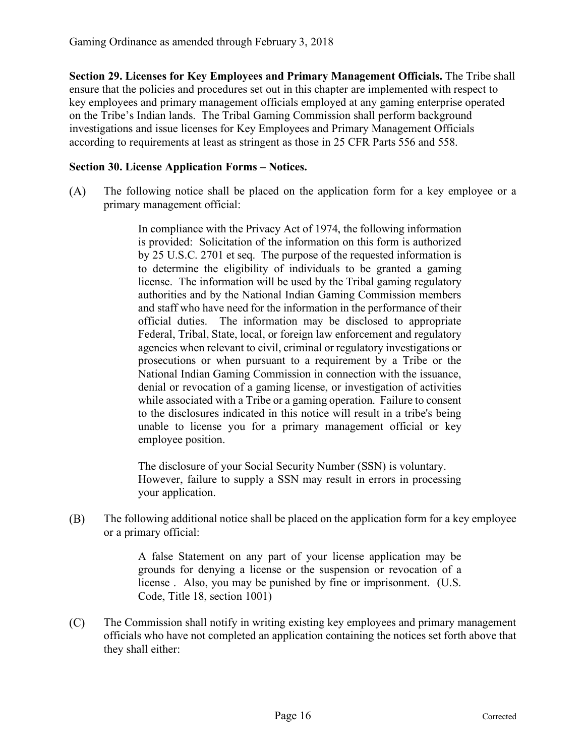**Section 29. Licenses for Key Employees and Primary Management Officials.** The Tribe shall ensure that the policies and procedures set out in this chapter are implemented with respect to key employees and primary management officials employed at any gaming enterprise operated on the Tribe's Indian lands. The Tribal Gaming Commission shall perform background investigations and issue licenses for Key Employees and Primary Management Officials according to requirements at least as stringent as those in 25 CFR Parts 556 and 558.

#### **Section 30. License Application Forms – Notices.**

 $(A)$ The following notice shall be placed on the application form for a key employee or a primary management official:

> In compliance with the Privacy Act of 1974, the following information is provided: Solicitation of the information on this form is authorized by 25 U.S.C. 2701 et seq. The purpose of the requested information is to determine the eligibility of individuals to be granted a gaming license. The information will be used by the Tribal gaming regulatory authorities and by the National Indian Gaming Commission members and staff who have need for the information in the performance of their official duties. The information may be disclosed to appropriate Federal, Tribal, State, local, or foreign law enforcement and regulatory agencies when relevant to civil, criminal or regulatory investigations or prosecutions or when pursuant to a requirement by a Tribe or the National Indian Gaming Commission in connection with the issuance, denial or revocation of a gaming license, or investigation of activities while associated with a Tribe or a gaming operation. Failure to consent to the disclosures indicated in this notice will result in a tribe's being unable to license you for a primary management official or key employee position.

> The disclosure of your Social Security Number (SSN) is voluntary. However, failure to supply a SSN may result in errors in processing your application.

(B) The following additional notice shall be placed on the application form for a key employee or a primary official:

> A false Statement on any part of your license application may be grounds for denying a license or the suspension or revocation of a license . Also, you may be punished by fine or imprisonment. (U.S. Code, Title 18, section 1001)

 $(C)$ The Commission shall notify in writing existing key employees and primary management officials who have not completed an application containing the notices set forth above that they shall either: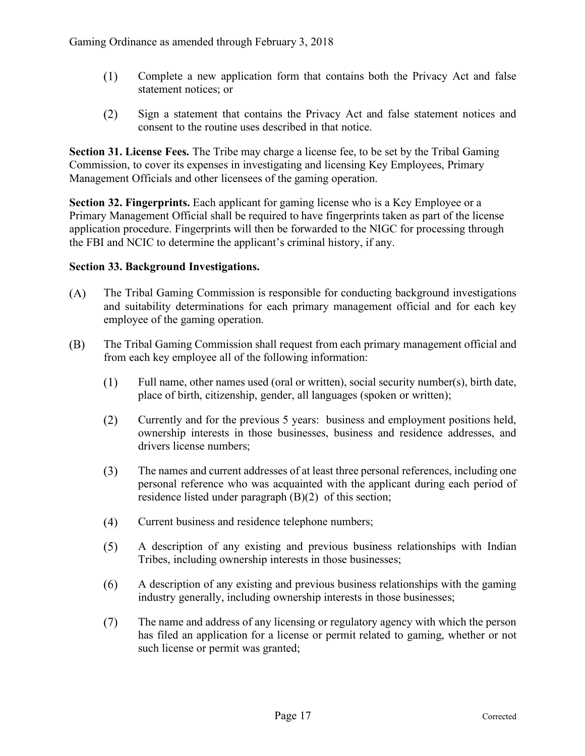- $(1)$ Complete a new application form that contains both the Privacy Act and false statement notices; or
- $(2)$ Sign a statement that contains the Privacy Act and false statement notices and consent to the routine uses described in that notice.

**Section 31. License Fees.** The Tribe may charge a license fee, to be set by the Tribal Gaming Commission, to cover its expenses in investigating and licensing Key Employees, Primary Management Officials and other licensees of the gaming operation.

**Section 32. Fingerprints.** Each applicant for gaming license who is a Key Employee or a Primary Management Official shall be required to have fingerprints taken as part of the license application procedure. Fingerprints will then be forwarded to the NIGC for processing through the FBI and NCIC to determine the applicant's criminal history, if any.

#### **Section 33. Background Investigations.**

- $(A)$ The Tribal Gaming Commission is responsible for conducting background investigations and suitability determinations for each primary management official and for each key employee of the gaming operation.
- The Tribal Gaming Commission shall request from each primary management official and (B) from each key employee all of the following information:
	- $(1)$ Full name, other names used (oral or written), social security number(s), birth date, place of birth, citizenship, gender, all languages (spoken or written);
	- $(2)$ Currently and for the previous 5 years: business and employment positions held, ownership interests in those businesses, business and residence addresses, and drivers license numbers;
	- $(3)$ The names and current addresses of at least three personal references, including one personal reference who was acquainted with the applicant during each period of residence listed under paragraph (B)(2) of this section;
	- $(4)$ Current business and residence telephone numbers;
	- A description of any existing and previous business relationships with Indian  $(5)$ Tribes, including ownership interests in those businesses;
	- $(6)$ A description of any existing and previous business relationships with the gaming industry generally, including ownership interests in those businesses;
	- $(7)$ The name and address of any licensing or regulatory agency with which the person has filed an application for a license or permit related to gaming, whether or not such license or permit was granted;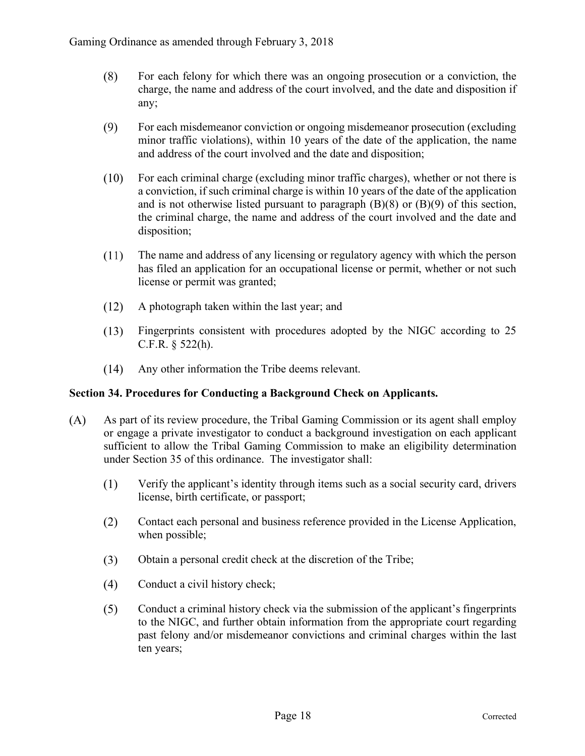- For each felony for which there was an ongoing prosecution or a conviction, the  $(8)$ charge, the name and address of the court involved, and the date and disposition if any;
- $(9)$ For each misdemeanor conviction or ongoing misdemeanor prosecution (excluding minor traffic violations), within 10 years of the date of the application, the name and address of the court involved and the date and disposition;
- $(10)$ For each criminal charge (excluding minor traffic charges), whether or not there is a conviction, if such criminal charge is within 10 years of the date of the application and is not otherwise listed pursuant to paragraph  $(B)(8)$  or  $(B)(9)$  of this section, the criminal charge, the name and address of the court involved and the date and disposition;
- $(11)$ The name and address of any licensing or regulatory agency with which the person has filed an application for an occupational license or permit, whether or not such license or permit was granted;
- $(12)$ A photograph taken within the last year; and
- $(13)$ Fingerprints consistent with procedures adopted by the NIGC according to 25 C.F.R. § 522(h).
- $(14)$ Any other information the Tribe deems relevant.

#### **Section 34. Procedures for Conducting a Background Check on Applicants.**

- $(A)$ As part of its review procedure, the Tribal Gaming Commission or its agent shall employ or engage a private investigator to conduct a background investigation on each applicant sufficient to allow the Tribal Gaming Commission to make an eligibility determination under Section 35 of this ordinance. The investigator shall:
	- $(1)$ Verify the applicant's identity through items such as a social security card, drivers license, birth certificate, or passport;
	- Contact each personal and business reference provided in the License Application,  $(2)$ when possible;
	- $(3)$ Obtain a personal credit check at the discretion of the Tribe;
	- $(4)$ Conduct a civil history check;
	- $(5)$ Conduct a criminal history check via the submission of the applicant's fingerprints to the NIGC, and further obtain information from the appropriate court regarding past felony and/or misdemeanor convictions and criminal charges within the last ten years;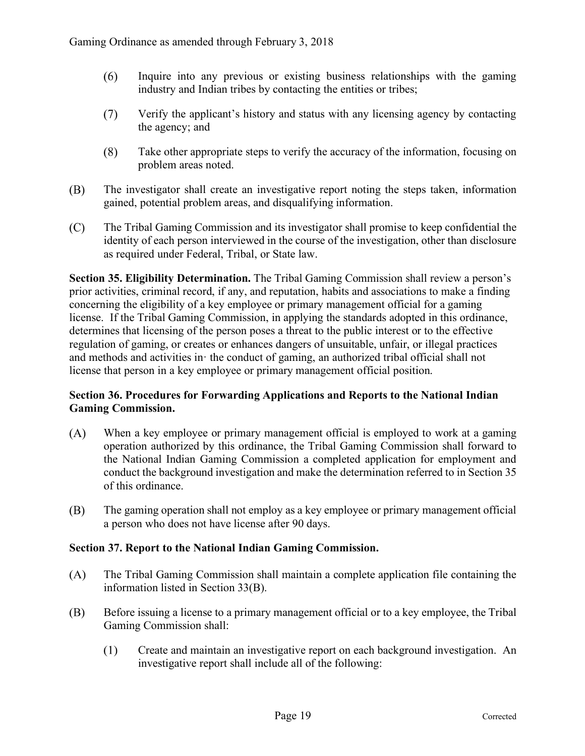- $(6)$ Inquire into any previous or existing business relationships with the gaming industry and Indian tribes by contacting the entities or tribes;
- $(7)$ Verify the applicant's history and status with any licensing agency by contacting the agency; and
- $(8)$ Take other appropriate steps to verify the accuracy of the information, focusing on problem areas noted.
- (B) The investigator shall create an investigative report noting the steps taken, information gained, potential problem areas, and disqualifying information.
- $(C)$ The Tribal Gaming Commission and its investigator shall promise to keep confidential the identity of each person interviewed in the course of the investigation, other than disclosure as required under Federal, Tribal, or State law.

**Section 35. Eligibility Determination.** The Tribal Gaming Commission shall review a person's prior activities, criminal record, if any, and reputation, habits and associations to make a finding concerning the eligibility of a key employee or primary management official for a gaming license. If the Tribal Gaming Commission, in applying the standards adopted in this ordinance, determines that licensing of the person poses a threat to the public interest or to the effective regulation of gaming, or creates or enhances dangers of unsuitable, unfair, or illegal practices and methods and activities in· the conduct of gaming, an authorized tribal official shall not license that person in a key employee or primary management official position.

#### **Section 36. Procedures for Forwarding Applications and Reports to the National Indian Gaming Commission.**

- $(A)$ When a key employee or primary management official is employed to work at a gaming operation authorized by this ordinance, the Tribal Gaming Commission shall forward to the National Indian Gaming Commission a completed application for employment and conduct the background investigation and make the determination referred to in Section 35 of this ordinance.
- (B) The gaming operation shall not employ as a key employee or primary management official a person who does not have license after 90 days.

#### **Section 37. Report to the National Indian Gaming Commission.**

- $(A)$ The Tribal Gaming Commission shall maintain a complete application file containing the information listed in Section 33(B).
- (B) Before issuing a license to a primary management official or to a key employee, the Tribal Gaming Commission shall:
	- $(1)$ Create and maintain an investigative report on each background investigation. An investigative report shall include all of the following: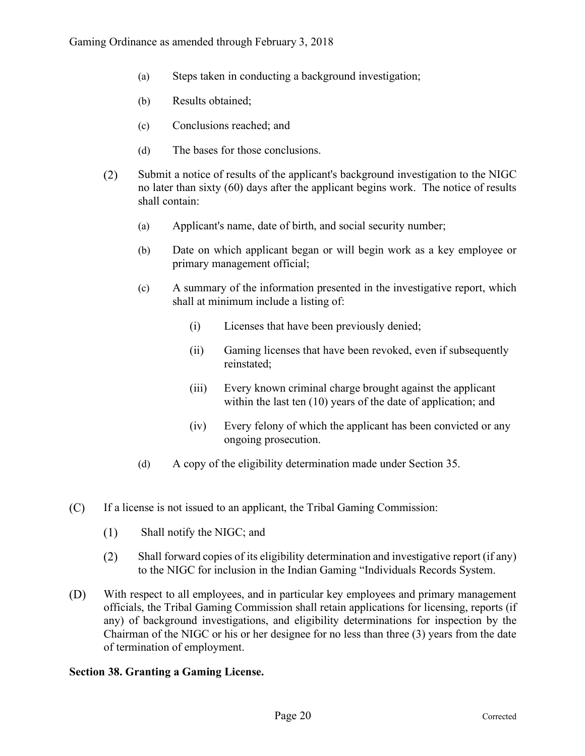- (a) Steps taken in conducting a background investigation;
- (b) Results obtained;
- (c) Conclusions reached; and
- (d) The bases for those conclusions.
- $(2)$ Submit a notice of results of the applicant's background investigation to the NIGC no later than sixty (60) days after the applicant begins work. The notice of results shall contain:
	- (a) Applicant's name, date of birth, and social security number;
	- (b) Date on which applicant began or will begin work as a key employee or primary management official;
	- (c) A summary of the information presented in the investigative report, which shall at minimum include a listing of:
		- (i) Licenses that have been previously denied;
		- (ii) Gaming licenses that have been revoked, even if subsequently reinstated;
		- (iii) Every known criminal charge brought against the applicant within the last ten (10) years of the date of application; and
		- (iv) Every felony of which the applicant has been convicted or any ongoing prosecution.
	- (d) A copy of the eligibility determination made under Section 35.
- $(C)$ If a license is not issued to an applicant, the Tribal Gaming Commission:
	- $(1)$ Shall notify the NIGC; and
	- $(2)$ Shall forward copies of its eligibility determination and investigative report (if any) to the NIGC for inclusion in the Indian Gaming "Individuals Records System.
- (D) With respect to all employees, and in particular key employees and primary management officials, the Tribal Gaming Commission shall retain applications for licensing, reports (if any) of background investigations, and eligibility determinations for inspection by the Chairman of the NIGC or his or her designee for no less than three (3) years from the date of termination of employment.

#### **Section 38. Granting a Gaming License.**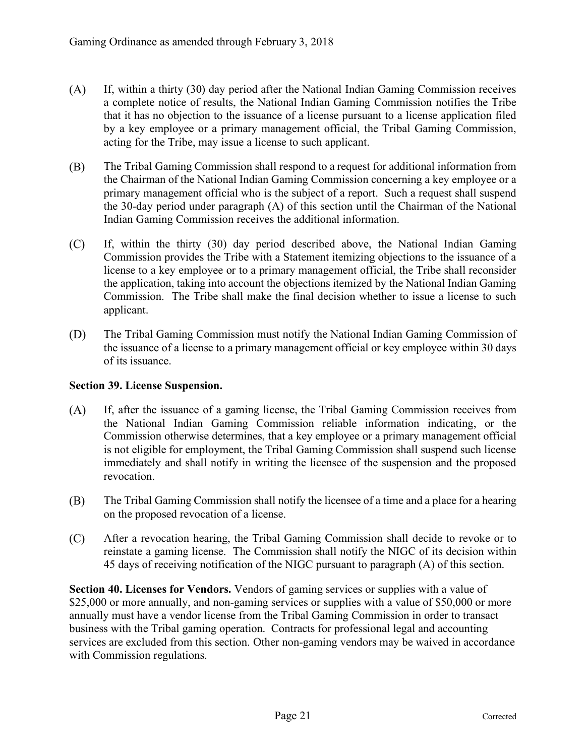- $(A)$ If, within a thirty (30) day period after the National Indian Gaming Commission receives a complete notice of results, the National Indian Gaming Commission notifies the Tribe that it has no objection to the issuance of a license pursuant to a license application filed by a key employee or a primary management official, the Tribal Gaming Commission, acting for the Tribe, may issue a license to such applicant.
- (B) The Tribal Gaming Commission shall respond to a request for additional information from the Chairman of the National Indian Gaming Commission concerning a key employee or a primary management official who is the subject of a report. Such a request shall suspend the 30-day period under paragraph (A) of this section until the Chairman of the National Indian Gaming Commission receives the additional information.
- $(C)$ If, within the thirty (30) day period described above, the National Indian Gaming Commission provides the Tribe with a Statement itemizing objections to the issuance of a license to a key employee or to a primary management official, the Tribe shall reconsider the application, taking into account the objections itemized by the National Indian Gaming Commission. The Tribe shall make the final decision whether to issue a license to such applicant.
- (D) The Tribal Gaming Commission must notify the National Indian Gaming Commission of the issuance of a license to a primary management official or key employee within 30 days of its issuance.

#### **Section 39. License Suspension.**

- $(A)$ If, after the issuance of a gaming license, the Tribal Gaming Commission receives from the National Indian Gaming Commission reliable information indicating, or the Commission otherwise determines, that a key employee or a primary management official is not eligible for employment, the Tribal Gaming Commission shall suspend such license immediately and shall notify in writing the licensee of the suspension and the proposed revocation.
- The Tribal Gaming Commission shall notify the licensee of a time and a place for a hearing (B) on the proposed revocation of a license.
- $(C)$ After a revocation hearing, the Tribal Gaming Commission shall decide to revoke or to reinstate a gaming license. The Commission shall notify the NIGC of its decision within 45 days of receiving notification of the NIGC pursuant to paragraph (A) of this section.

**Section 40. Licenses for Vendors.** Vendors of gaming services or supplies with a value of \$25,000 or more annually, and non-gaming services or supplies with a value of \$50,000 or more annually must have a vendor license from the Tribal Gaming Commission in order to transact business with the Tribal gaming operation. Contracts for professional legal and accounting services are excluded from this section. Other non-gaming vendors may be waived in accordance with Commission regulations.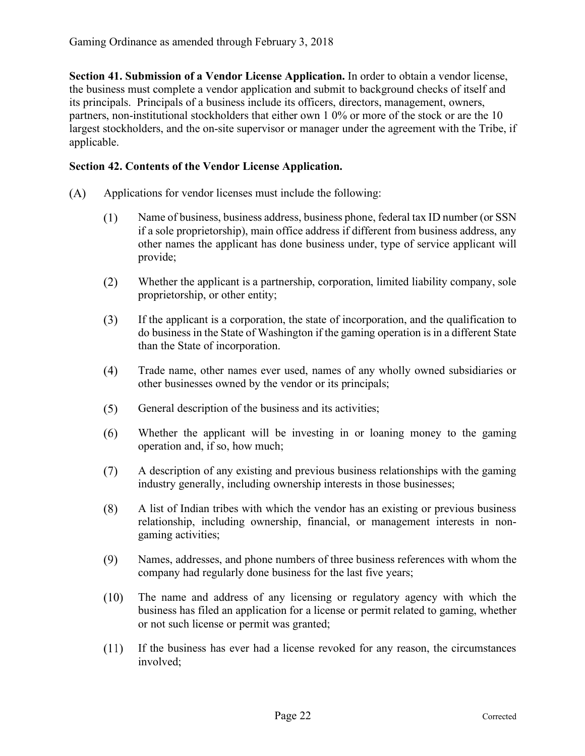**Section 41. Submission of a Vendor License Application.** In order to obtain a vendor license, the business must complete a vendor application and submit to background checks of itself and its principals. Principals of a business include its officers, directors, management, owners, partners, non-institutional stockholders that either own 1 0% or more of the stock or are the 10 largest stockholders, and the on-site supervisor or manager under the agreement with the Tribe, if applicable.

#### **Section 42. Contents of the Vendor License Application.**

- $(A)$ Applications for vendor licenses must include the following:
	- $(1)$ Name of business, business address, business phone, federal tax ID number (or SSN if a sole proprietorship), main office address if different from business address, any other names the applicant has done business under, type of service applicant will provide;
	- $(2)$ Whether the applicant is a partnership, corporation, limited liability company, sole proprietorship, or other entity;
	- $(3)$ If the applicant is a corporation, the state of incorporation, and the qualification to do business in the State of Washington if the gaming operation is in a different State than the State of incorporation.
	- $(4)$ Trade name, other names ever used, names of any wholly owned subsidiaries or other businesses owned by the vendor or its principals;
	- $(5)$ General description of the business and its activities;
	- $(6)$ Whether the applicant will be investing in or loaning money to the gaming operation and, if so, how much;
	- $(7)$ A description of any existing and previous business relationships with the gaming industry generally, including ownership interests in those businesses;
	- $(8)$ A list of Indian tribes with which the vendor has an existing or previous business relationship, including ownership, financial, or management interests in nongaming activities;
	- $(9)$ Names, addresses, and phone numbers of three business references with whom the company had regularly done business for the last five years;
	- $(10)$ The name and address of any licensing or regulatory agency with which the business has filed an application for a license or permit related to gaming, whether or not such license or permit was granted;
	- $(11)$ If the business has ever had a license revoked for any reason, the circumstances involved;